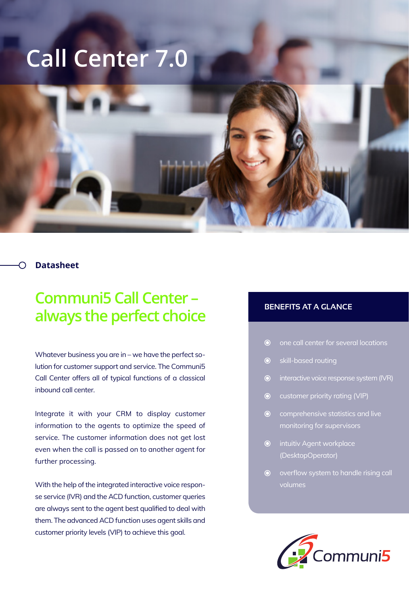## **Call Center 7.0**

## **Datasheet**

## **Communi5 Call Center – always the perfect choice**

Whatever business you are in – we have the perfect solution for customer support and service. The Communi5 Call Center offers all of typical functions of a classical inbound call center.

Integrate it with your CRM to display customer information to the agents to optimize the speed of service. The customer information does not get lost even when the call is passed on to another agent for further processing.

With the help of the integrated interactive voice response service (IVR) and the ACD function, customer queries are always sent to the agent best qualified to deal with them. The advanced ACD function uses agent skills and customer priority levels (VIP) to achieve this goal.

## **BENEFITS AT A GLANCE**

- one call center for several locations  $\odot$
- $\odot$ skill-based routing
- interactive voice response system (IVR)
- customer priority rating (VIP)
- $\odot$  comprehensive statistics and live monitoring for supervisors
- **O** intuitiv Agent workplace (DesktopOperator)
- overflow system to handle rising call  $\odot$ volumes